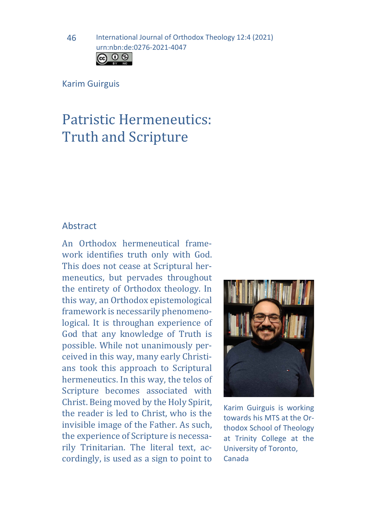Karim Guirguis

# Patristic Hermeneutics: Truth and Scripture

## Abstract

An Orthodox hermeneutical framework identifies truth only with God. This does not cease at Scriptural hermeneutics, but pervades throughout the entirety of Orthodox theology. In this way, an Orthodox epistemological framework is necessarily phenomenological. It is throughan experience of God that any knowledge of Truth is possible. While not unanimously perceived in this way, many early Christians took this approach to Scriptural hermeneutics. In this way, the telos of Scripture becomes associated with Christ. Being moved by the Holy Spirit, the reader is led to Christ, who is the invisible image of the Father. As such, the experience of Scripture is necessarily Trinitarian. The literal text, accordingly, is used as a sign to point to



Karim Guirguis is working towards his MTS at the Orthodox School of Theology at Trinity College at the University of Toronto, Canada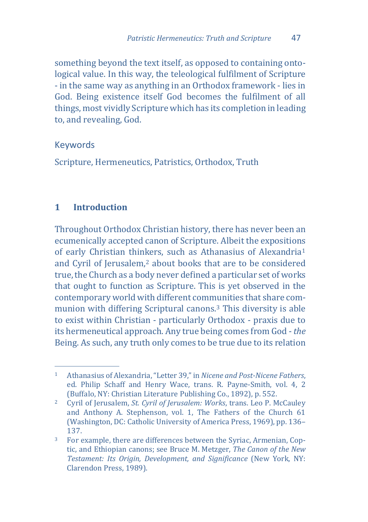something beyond the text itself, as opposed to containing ontological value. In this way, the teleological fulfilment of Scripture - in the same way as anything in an Orthodox framework - lies in God. Being existence itself God becomes the fulfilment of all things, most vividly Scripture which has its completion in leading to, and revealing, God.

## Keywords

Scripture, Hermeneutics, Patristics, Orthodox, Truth

## **1 Introduction**

Throughout Orthodox Christian history, there has never been an ecumenically accepted canon of Scripture. Albeit the exposition[s](#page-1-0)  of early Christian thin[ke](#page-1-1)rs, such as Athanasius of Alexandria1 and Cyril of Jerusalem,2 about books that are to be considered true, the Church as a body never defined a particular set of works that ought to function as Scripture. This is yet observed in the contemporary world with different communities that share communion with differing Scriptural canons.[3](#page-1-2) This diversity is able to exist within Christian - particularly Orthodox - praxis due to its hermeneutical approach. Any true being comes from God - *the* Being. As such, any truth only comes to be true due to its relation

<span id="page-1-0"></span> $1 -$ <sup>1</sup> Athanasius of Alexandria, "Letter 39," in *Nicene and Post-Nicene Fathers*, ed. Philip Schaff and Henry Wace, trans. R. Payne-Smith, vol. 4, 2 (Buffalo, NY: Christian Literature Publishing Co., 1892), p. 552.

<span id="page-1-1"></span><sup>2</sup> Cyril of Jerusalem, *St. Cyril of Jerusalem: Works*, trans. Leo P. McCauley and Anthony A. Stephenson, vol. 1, The Fathers of the Church 61 (Washington, DC: Catholic University of America Press, 1969), pp. 136– 137.

<span id="page-1-2"></span><sup>3</sup> For example, there are differences between the Syriac, Armenian, Coptic, and Ethiopian canons; see Bruce M. Metzger, *The Canon of the New Testament: Its Origin, Development, and Significance* (New York, NY: Clarendon Press, 1989).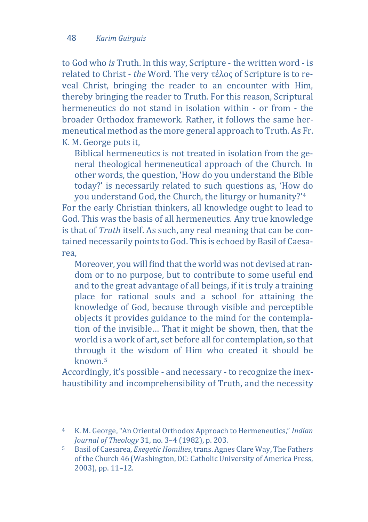to God who *is* Truth. In this way, Scripture - the written word - is related to Christ - *the* Word. The very τέλος of Scripture is to reveal Christ, bringing the reader to an encounter with Him, thereby bringing the reader to Truth. For this reason, Scriptural hermeneutics do not stand in isolation within - or from - the broader Orthodox framework. Rather, it follows the same hermeneutical method as the more general approach to Truth. As Fr. K. M. George puts it,

Biblical hermeneutics is not treated in isolation from the general theological hermeneutical approach of the Church. In other words, the question, 'How do you understand the Bible today?' is necessarily related to such questions as, 'How do you understand God, the Church, the liturgy or humanity?'[4](#page-2-0)

For the early Christian thinkers, all knowledge ought to lead to God. This was the basis of all hermeneutics. Any true knowledge is that of *Truth* itself. As such, any real meaning that can be contained necessarily points to God. This is echoed by Basil of Caesarea,

Moreover, you will find that the world was not devised at random or to no purpose, but to contribute to some useful end and to the great advantage of all beings, if it is truly a training place for rational souls and a school for attaining the knowledge of God, because through visible and perceptible objects it provides guidance to the mind for the contemplation of the invisible… That it might be shown, then, that the world is a work of art, set before all for contemplation, so that throug[h](#page-2-1) it the wisdom of Him who created it should be known.5

Accordingly, it's possible - and necessary - to recognize the inexhaustibility and incomprehensibility of Truth, and the necessity

<span id="page-2-0"></span> $\overline{4}$ <sup>4</sup> K. M. George, "An Oriental Orthodox Approach to Hermeneutics," *Indian Journal of Theology* 31, no. 3–4 (1982), p. 203.

<span id="page-2-1"></span><sup>5</sup> Basil of Caesarea, *Exegetic Homilies*,trans. Agnes Clare Way, The Fathers of the Church 46 (Washington, DC: Catholic University of America Press, 2003), pp. 11–12.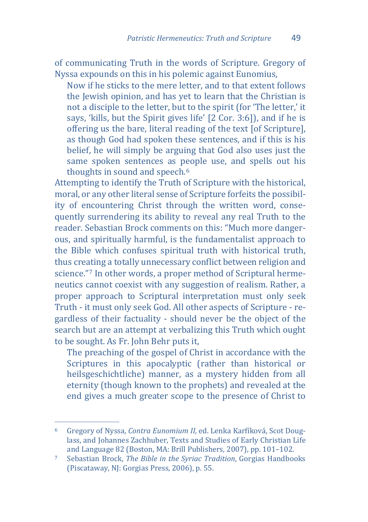of communicating Truth in the words of Scripture. Gregory of Nyssa expounds on this in his polemic against Eunomius,

Now if he sticks to the mere letter, and to that extent follows the Jewish opinion, and has yet to learn that the Christian is not a disciple to the letter, but to the spirit (for 'The letter,' it says, 'kills, but the Spirit gives life' [2 Cor. 3:6]), and if he is offering us the bare, literal reading of the text [of Scripture], as though God had spoken these sentences, and if this is his belief, he will simply be arguing that God also uses just the same spoken sentences as people use, and spells out his thoughts in sound and speech.<sup>6</sup>

Attempting to identify the Truth of Scripture with the historical, moral, or any other literal sense of Scripture forfeits the possibility of encountering Christ through the written word, consequently surrendering its ability to reveal any real Truth to the reader. Sebastian Brock comments on this: "Much more dangerous, and spiritually harmful, is the fundamentalist approach to the Bible which confuses spiritual truth with historical truth, thus cre[at](#page-3-1)ing a totally unnecessary conflict between religion and science."7 In other words, a proper method of Scriptural hermeneutics cannot coexist with any suggestion of realism. Rather, a proper approach to Scriptural interpretation must only seek Truth - it must only seek God. All other aspects of Scripture - regardless of their factuality - should never be the object of the search but are an attempt at verbalizing this Truth which ought to be sought. As Fr. John Behr puts it,

The preaching of the gospel of Christ in accordance with the Scriptures in this apocalyptic (rather than historical or heilsgeschichtliche) manner, as a mystery hidden from all eternity (though known to the prophets) and revealed at the end gives a much greater scope to the presence of Christ to

<span id="page-3-0"></span>j <sup>6</sup> Gregory of Nyssa, *Contra Eunomium II*, ed. Lenka Karfíková, Scot Douglass, and Johannes Zachhuber, Texts and Studies of Early Christian Life and Language 82 (Boston, MA: Brill Publishers, 2007), pp. 101–102.

<span id="page-3-1"></span><sup>7</sup> Sebastian Brock, *The Bible in the Syriac Tradition*, Gorgias Handbooks (Piscataway, NJ: Gorgias Press, 2006), p. 55.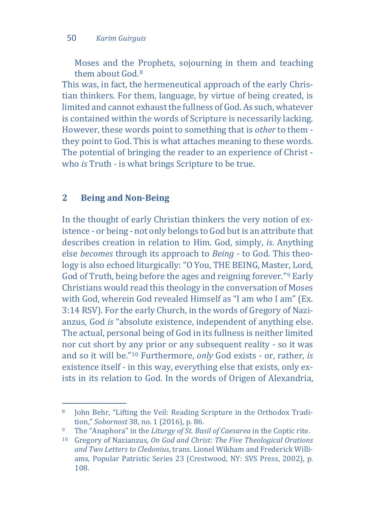Moses and the Prophets, sojourning in them and teaching them about God [8](#page-4-0)

This was, in fact, the hermeneutical approach of the early Christian thinkers. For them, language, by virtue of being created, is limited and cannot exhaust the fullness of God. As such, whatever is contained within the words of Scripture is necessarily lacking. However, these words point to something that is *other* to them they point to God. This is what attaches meaning to these words. The potential of bringing the reader to an experience of Christ who *is* Truth - is what brings Scripture to be true.

#### **2 Being and Non-Being**

In the thought of early Christian thinkers the very notion of existence - or being - not only belongs to God but is an attribute that describes creation in relation to Him. God, simply, *is*. Anything else *becomes* through its approach to *Being -* to God. This theology is also echoed liturgically: "O You, THE BEING, Master, Lord, God of Truth, being before the ages and reigning forever."[9](#page-4-1) Early Christians would read this theology in the conversation of Moses with God, wherein God revealed Himself as "I am who I am" (Ex. 3:14 RSV). For the early Church, in the words of Gregory of Nazianzus, God *is* "absolute existence, independent of anything else. The actual, personal being of God in its fullness is neither limited nor cut short by any prior or any subsequent reality - so it was and so it will be."[10](#page-4-2) Furthermore, *only* God exists - or, rather, *is*  existence itself - in this way, everything else that exists, only exists in its relation to God. In the words of Origen of Alexandria,

<span id="page-4-0"></span>j <sup>8</sup> John Behr, "Lifting the Veil: Reading Scripture in the Orthodox Tradition," *Sobornost* 38, no. 1 (2016), p. 86.

<span id="page-4-1"></span><sup>9</sup> The "Anaphora" in the *Liturgy of St. Basil of Caesarea* in the Coptic rite.

<span id="page-4-2"></span><sup>10</sup> Gregory of Nazianzus, *On God and Christ: The Five Theological Orations and Two Letters to Cledonius*, trans. Lionel Wikham and Frederick Williams, Popular Patristic Series 23 (Crestwood, NY: SVS Press, 2002), p. 108.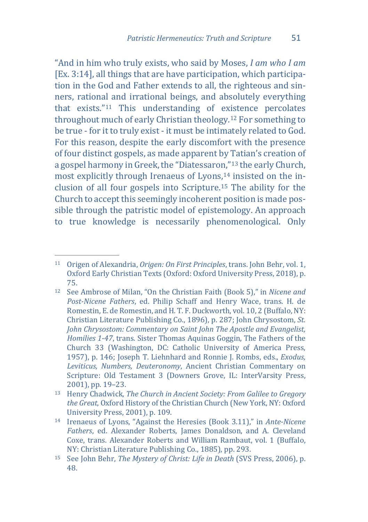"And in him who truly exists, who said by Moses, *I am who I am* [Ex. 3:14], all things that are have participation, which participation in the God and Father extends to all, the righteous and sinners, rational and irrational beings, and absolutely everything that exists.["11](#page-5-0) This understanding of existence percolates throughout much of early Christian theology.[12](#page-5-1) For something to be true - for it to truly exist - it must be intimately related to God. For this reason, despite the early discomfort with the presence of four distinct gospels, as made apparent by Tatian's creation of a gospel harmony in Greek, the "Diatessaro[n,"](#page-5-3)[13](#page-5-2) the early Church, most explicitly through Irenaeus of Lyon[s,14](#page-5-4) insisted on the inclusion of all four gospels into Scripture.15 The ability for the Church to accept this seemingly incoherent position is made possible through the patristic model of epistemology. An approach to true knowledge is necessarily phenomenological. Only

<span id="page-5-0"></span>j <sup>11</sup> Origen of Alexandria, *Origen: On First Principles*, trans. John Behr, vol. 1, Oxford Early Christian Texts (Oxford: Oxford University Press, 2018), p. 75.

<span id="page-5-1"></span><sup>12</sup> See Ambrose of Milan, "On the Christian Faith (Book 5)," in *Nicene and Post-Nicene Fathers*, ed. Philip Schaff and Henry Wace, trans. H. de Romestin, E. de Romestin, and H. T. F. Duckworth, vol. 10, 2 (Buffalo, NY: Christian Literature Publishing Co., 1896), p. 287; John Chrysostom, *St. John Chrysostom: Commentary on Saint John The Apostle and Evangelist, Homilies 1-47*, trans. Sister Thomas Aquinas Goggin, The Fathers of the Church 33 (Washington, DC: Catholic University of America Press, 1957), p. 146; Joseph T. Liehnhard and Ronnie J. Rombs, eds., *Exodus, Leviticus, Numbers, Deuteronomy*, Ancient Christian Commentary on Scripture: Old Testament 3 (Downers Grove, IL: InterVarsity Press, 2001), pp. 19–23.

<span id="page-5-2"></span><sup>13</sup> Henry Chadwick, *The Church in Ancient Society: From Galilee to Gregory the Great*, Oxford History of the Christian Church (New York, NY: Oxford University Press, 2001), p. 109.

<span id="page-5-3"></span><sup>14</sup> Irenaeus of Lyons, "Against the Heresies (Book 3.11)," in *Ante-Nicene Fathers*, ed. Alexander Roberts, James Donaldson, and A. Cleveland Coxe, trans. Alexander Roberts and William Rambaut, vol. 1 (Buffalo, NY: Christian Literature Publishing Co., 1885), pp. 293.

<span id="page-5-4"></span><sup>15</sup> See John Behr, *The Mystery of Christ: Life in Death* (SVS Press, 2006), p. 48.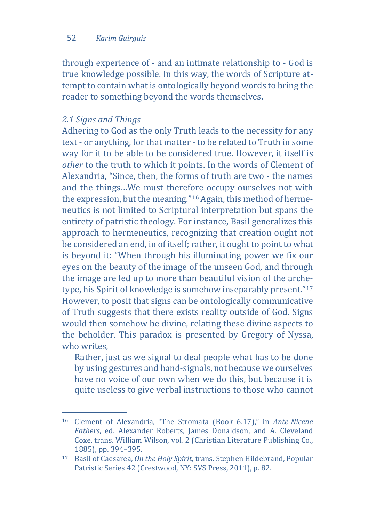through experience of - and an intimate relationship to - God is true knowledge possible. In this way, the words of Scripture attempt to contain what is ontologically beyond words to bring the reader to something beyond the words themselves.

## *2.1 Signs and Things*

Adhering to God as the only Truth leads to the necessity for any text - or anything, for that matter - to be related to Truth in some way for it to be able to be considered true. However, it itself is *other* to the truth to which it points. In the words of Clement of Alexandria, "Since, then, the forms of truth are two - the names and the things…We must therefore occupy ourselves not with the expression, but the meaning."[16](#page-6-0) Again, this method of hermeneutics is not limited to Scriptural interpretation but spans the entirety of patristic theology. For instance, Basil generalizes this approach to hermeneutics, recognizing that creation ought not be considered an end, in of itself; rather, it ought to point to what is beyond it: "When through his illuminating power we fix our eyes on the beauty of the image of the unseen God, and through the image are led up to more than beautiful vision of the archetype, his Spirit of knowledge is somehow inseparably present."[17](#page-6-1) However, to posit that signs can be ontologically communicative of Truth suggests that there exists reality outside of God. Signs would then somehow be divine, relating these divine aspects to the beholder. This paradox is presented by Gregory of Nyssa, who writes.

Rather, just as we signal to deaf people what has to be done by using gestures and hand-signals, not because we ourselves have no voice of our own when we do this, but because it is quite useless to give verbal instructions to those who cannot

<span id="page-6-0"></span>j <sup>16</sup> Clement of Alexandria, "The Stromata (Book 6.17)," in *Ante-Nicene Fathers*, ed. Alexander Roberts, James Donaldson, and A. Cleveland Coxe, trans. William Wilson, vol. 2 (Christian Literature Publishing Co., 1885), pp. 394–395.

<span id="page-6-1"></span><sup>17</sup> Basil of Caesarea, *On the Holy Spirit*, trans. Stephen Hildebrand, Popular Patristic Series 42 (Crestwood, NY: SVS Press, 2011), p. 82.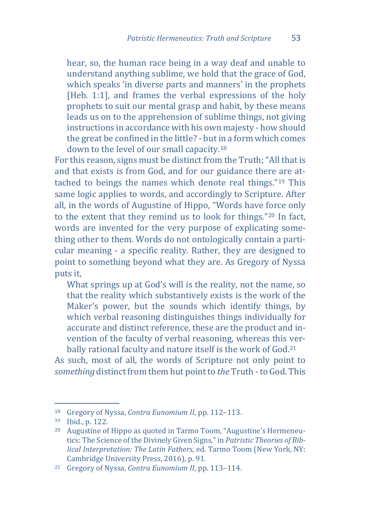hear, so, the human race being in a way deaf and unable to understand anything sublime, we hold that the grace of God, which speaks 'in diverse parts and manners' in the prophets [Heb. 1:1], and frames the verbal expressions of the holy prophets to suit our mental grasp and habit, by these means leads us on to the apprehension of sublime things, not giving instructions in accordance with his own majesty - how should the great be confined in the little? - but in a form which comes down to the level of our small capacity.[18](#page-7-0)

For this reason, signs must be distinct from the Truth; "All that is and that exists is from God, and for our guidance there are attached to beings the names which denote real things."[19](#page-7-1) This same logic applies to words, and accordingly to Scripture. After all, in the words of Augustine of Hippo, "Words have force only to the extent that they remind us to look for things."[20](#page-7-2) In fact, words are invented for the very purpose of explicating something other to them. Words do not ontologically contain a particular meaning - a specific reality. Rather, they are designed to point to something beyond what they are. As Gregory of Nyssa puts it,

What springs up at God's will is the reality, not the name, so that the reality which substantively exists is the work of the Maker's power, but the sounds which identify things, by which verbal reasoning distinguishes things individually for accurate and distinct reference, these are the product and invention of the faculty of verbal reasoning, whereas this ver-bally rational faculty and nature itself is the work of God.<sup>[21](#page-7-3)</sup>

As such, most of all, the words of Scripture not only point to *something* distinct from them but point to *the* Truth - to God. This

j <sup>18</sup> Gregory of Nyssa, *Contra Eunomium II*, pp. 112–113.

<span id="page-7-1"></span><span id="page-7-0"></span><sup>19</sup> Ibid., p. 122.

<span id="page-7-2"></span><sup>20</sup> Augustine of Hippo as quoted in Tarmo Toom, "Augustine's Hermeneutics: The Science of the Divinely Given Signs," in *Patristic Theories of Biblical Interpretation: The Latin Fathers*, ed. Tarmo Toom (New York, NY: Cambridge University Press, 2016), p. 91.

<span id="page-7-3"></span><sup>21</sup> Gregory of Nyssa, *Contra Eunomium II*, pp. 113–114.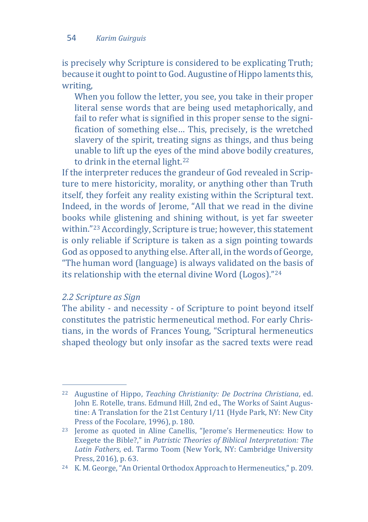is precisely why Scripture is considered to be explicating Truth; because it ought to point to God. Augustine of Hippo laments this, writing,

When you follow the letter, you see, you take in their proper literal sense words that are being used metaphorically, and fail to refer what is signified in this proper sense to the signification of something else… This, precisely, is the wretched slavery of the spirit, treating signs as things, and thus being unable to lift up the eyes of the mind above bodily creatures, to drink in the eternal light.<sup>[22](#page-8-0)</sup>

If the interpreter reduces the grandeur of God revealed in Scripture to mere historicity, morality, or anything other than Truth itself, they forfeit any reality existing within the Scriptural text. Indeed, in the words of Jerome, "All that we read in the divine books while glistening and shining without, is yet far sweeter within."[23](#page-8-1) Accordingly, Scripture is true; however, this statement is only reliable if Scripture is taken as a sign pointing towards God as opposed to anything else. After all, in the words of George, "The human word (language) is always validated on the basis of its relationship with the eternal divine Word (Logos)."[24](#page-8-2)

# *2.2 Scripture as Sign*

The ability - and necessity - of Scripture to point beyond itself constitutes the patristic hermeneutical method. For early Christians, in the words of Frances Young, "Scriptural hermeneutics shaped theology but only insofar as the sacred texts were read

<span id="page-8-0"></span>j <sup>22</sup> Augustine of Hippo, *Teaching Christianity: De Doctrina Christiana*, ed. John E. Rotelle, trans. Edmund Hill, 2nd ed., The Works of Saint Augustine: A Translation for the 21st Century I/11 (Hyde Park, NY: New City Press of the Focolare, 1996), p. 180.

<span id="page-8-1"></span><sup>23</sup> Jerome as quoted in Aline Canellis, "Jerome's Hermeneutics: How to Exegete the Bible?," in *Patristic Theories of Biblical Interpretation: The Latin Fathers*, ed. Tarmo Toom (New York, NY: Cambridge University Press, 2016), p. 63.

<span id="page-8-2"></span><sup>24</sup> K. M. George, "An Oriental Orthodox Approach to Hermeneutics," p. 209.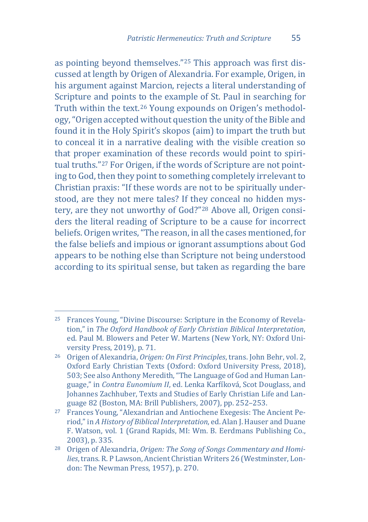as pointing beyond themselves."[25](#page-9-0) This approach was first discussed at length by Origen of Alexandria. For example, Origen, in his argument against Marcion, rejects a literal understanding of Scripture and points to the example of St. Paul in searching for Truth within the text.[26](#page-9-1) Young expounds on Origen's methodology, "Origen accepted without question the unity of the Bible and found it in the Holy Spirit's skopos (aim) to impart the truth but to conceal it in a narrative dealing with the visible creation so that proper [ex](#page-9-2)amination of these records would point to spiritual truths."27 For Origen, if the words of Scripture are not pointing to God, then they point to something completely irrelevant to Christian praxis: "If these words are not to be spiritually understood, are they not mere tales? If they conceal no hidden mystery, are they not unworthy of God?"[28](#page-9-3) Above all, Origen considers the literal reading of Scripture to be a cause for incorrect beliefs. Origen writes, "The reason, in all the cases mentioned, for the false beliefs and impious or ignorant assumptions about God appears to be nothing else than Scripture not being understood according to its spiritual sense, but taken as regarding the bare

<span id="page-9-0"></span>j <sup>25</sup> Frances Young, "Divine Discourse: Scripture in the Economy of Revelation," in *The Oxford Handbook of Early Christian Biblical Interpretation*, ed. Paul M. Blowers and Peter W. Martens (New York, NY: Oxford University Press, 2019), p. 71.

<span id="page-9-1"></span><sup>26</sup> Origen of Alexandria, *Origen: On First Principles*, trans. John Behr, vol. 2, Oxford Early Christian Texts (Oxford: Oxford University Press, 2018), 503; See also Anthony Meredith, "The Language of God and Human Language," in *Contra Eunomium II*, ed. Lenka Karfíková, Scot Douglass, and Johannes Zachhuber, Texts and Studies of Early Christian Life and Language 82 (Boston, MA: Brill Publishers, 2007), pp. 252–253.

<span id="page-9-2"></span><sup>27</sup> Frances Young, "Alexandrian and Antiochene Exegesis: The Ancient Period," in *A History of Biblical Interpretation*, ed. Alan J. Hauser and Duane F. Watson, vol. 1 (Grand Rapids, MI: Wm. B. Eerdmans Publishing Co., 2003), p. 335.

<span id="page-9-3"></span><sup>28</sup> Origen of Alexandria, *Origen: The Song of Songs Commentary and Homilies*, trans. R. P Lawson, Ancient Christian Writers 26 (Westminster, London: The Newman Press, 1957), p. 270.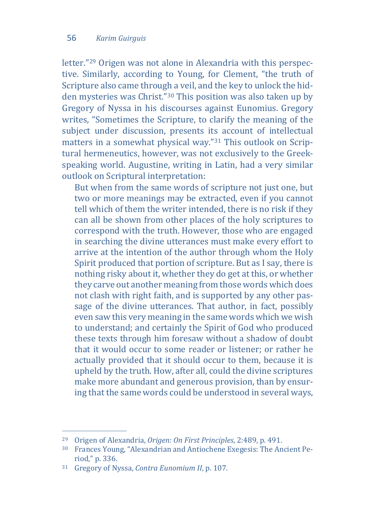letter."[29](#page-10-0) Origen was not alone in Alexandria with this perspective. Similarly, according to Young, for Clement, "the truth of Scripture also came through a veil, and the key to unlock the hidden mysteries was Christ."[30](#page-10-1) This position was also taken up by Gregory of Nyssa in his discourses against Eunomius. Gregory writes, "Sometimes the Scripture, to clarify the meaning of the subject under discussion, presents its account of intellectual matters in a somewhat physical way."[31](#page-10-2) This outlook on Scriptural hermeneutics, however, was not exclusively to the Greekspeaking world. Augustine, writing in Latin, had a very similar outlook on Scriptural interpretation:

But when from the same words of scripture not just one, but two or more meanings may be extracted, even if you cannot tell which of them the writer intended, there is no risk if they can all be shown from other places of the holy scriptures to correspond with the truth. However, those who are engaged in searching the divine utterances must make every effort to arrive at the intention of the author through whom the Holy Spirit produced that portion of scripture. But as I say, there is nothing risky about it, whether they do get at this, or whether they carve out another meaning from those words which does not clash with right faith, and is supported by any other passage of the divine utterances. That author, in fact, possibly even saw this very meaning in the same words which we wish to understand; and certainly the Spirit of God who produced these texts through him foresaw without a shadow of doubt that it would occur to some reader or listener; or rather he actually provided that it should occur to them, because it is upheld by the truth. How, after all, could the divine scriptures make more abundant and generous provision, than by ensuring that the same words could be understood in several ways,

j <sup>29</sup> Origen of Alexandria, *Origen: On First Principles*, 2:489, p. 491.

<span id="page-10-1"></span><span id="page-10-0"></span><sup>30</sup> Frances Young, "Alexandrian and Antiochene Exegesis: The Ancient Period," p. 336.

<span id="page-10-2"></span><sup>31</sup> Gregory of Nyssa, *Contra Eunomium II*, p. 107.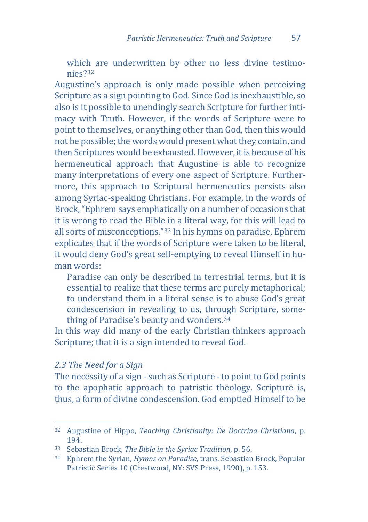which are underwritten by other no less divine testimonies?[32](#page-11-0)

Augustine's approach is only made possible when perceiving Scripture as a sign pointing to God. Since God is inexhaustible, so also is it possible to unendingly search Scripture for further intimacy with Truth. However, if the words of Scripture were to point to themselves, or anything other than God, then this would not be possible; the words would present what they contain, and then Scriptures would be exhausted. However, it is because of his hermeneutical approach that Augustine is able to recognize many interpretations of every one aspect of Scripture. Furthermore, this approach to Scriptural hermeneutics persists also among Syriac-speaking Christians. For example, in the words of Brock, "Ephrem says emphatically on a number of occasions that it is wrong to read the Bible in a literal way, for this will lead to all sorts of misconceptions."[33](#page-11-1) In his hymns on paradise, Ephrem explicates that if the words of Scripture were taken to be literal, it would deny God's great self-emptying to reveal Himself in human words:

Paradise can only be described in terrestrial terms, but it is essential to realize that these terms arc purely metaphorical; to understand them in a literal sense is to abuse God's great condescension in revealing to us, through Scripture, something of Paradise's beauty and wonders[.34](#page-11-2)

In this way did many of the early Christian thinkers approach Scripture; that it is a sign intended to reveal God.

#### *2.3 The Need for a Sign*

The necessity of a sign - such as Scripture - to point to God points to the apophatic approach to patristic theology. Scripture is, thus, a form of divine condescension. God emptied Himself to be

<span id="page-11-0"></span>j <sup>32</sup> Augustine of Hippo, *Teaching Christianity: De Doctrina Christiana*, p. 194.

<span id="page-11-1"></span><sup>33</sup> Sebastian Brock, *The Bible in the Syriac Tradition*, p. 56.

<span id="page-11-2"></span><sup>34</sup> Ephrem the Syrian, *Hymns on Paradise*, trans. Sebastian Brock, Popular Patristic Series 10 (Crestwood, NY: SVS Press, 1990), p. 153.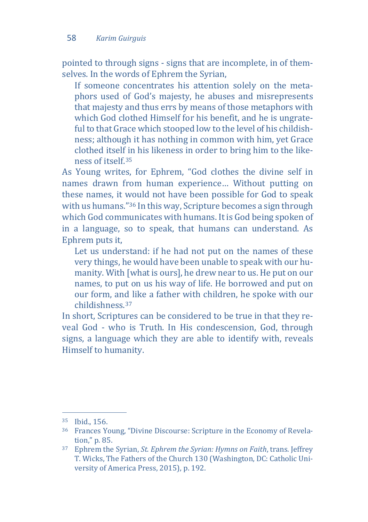pointed to through signs - signs that are incomplete, in of themselves. In the words of Ephrem the Syrian,

If someone concentrates his attention solely on the metaphors used of God's majesty, he abuses and misrepresents that majesty and thus errs by means of those metaphors with which God clothed Himself for his benefit, and he is ungrateful to that Grace which stooped low to the level of his childishness; although it has nothing in common with him, yet Grace clothed itself in his likeness in order to bring him to the likeness of itself.[35](#page-12-0)

As Young writes, for Ephrem, "God clothes the divine self in names drawn from human experience… Without putting on these names, it would not have been possible for God to speak with us humans."[36](#page-12-1) In this way, Scripture becomes a sign through which God communicates with humans. It is God being spoken of in a language, so to speak, that humans can understand. As Ephrem puts it,

Let us understand: if he had not put on the names of these very things, he would have been unable to speak with our humanity. With [what is ours], he drew near to us. He put on our names, to put on us his way of life. He borrowed and put on our form, and like a father with children, he spoke with our childishness.[37](#page-12-2)

In short, Scriptures can be considered to be true in that they reveal God - who is Truth. In His condescension, God, through signs, a language which they are able to identify with, reveals Himself to humanity.

j  $35$  Ibid., 156.

<span id="page-12-1"></span><span id="page-12-0"></span><sup>36</sup> Frances Young, "Divine Discourse: Scripture in the Economy of Revelation," p. 85.

<span id="page-12-2"></span><sup>37</sup> Ephrem the Syrian, *St. Ephrem the Syrian: Hymns on Faith*, trans. Jeffrey T. Wicks, The Fathers of the Church 130 (Washington, DC: Catholic University of America Press, 2015), p. 192.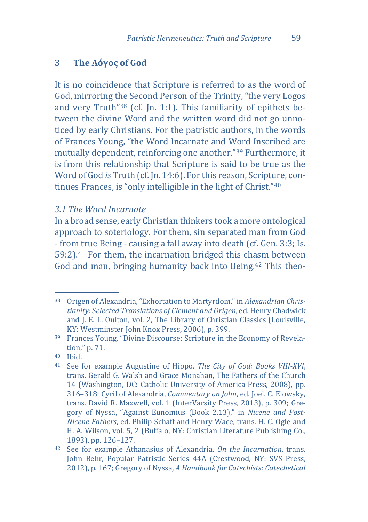## **3 The Λόγος of God**

It is no coincidence that Scripture is referred to as the word of God, mirroring the Second Person of the Trinity, "the very Logos and very Truth["38](#page-13-0) (cf. Jn. 1:1). This familiarity of epithets between the divine Word and the written word did not go unnoticed by early Christians. For the patristic authors, in the words of Frances Young, "the Word Incarnate and Word Inscribed are mutually dependent, reinforcing one another."[39](#page-13-1) Furthermore, it is from this relationship that Scripture is said to be true as the Word of God *is* Truth (cf. Jn. 14:6). For this reason, Scripture, continues Frances, is "only intelligible in the light of Christ."[40](#page-13-2)

#### *3.1 The Word Incarnate*

In a broad sense, early Christian thinkers took a more ontological approach to soteriology. For them, sin separated man from God - from true Being - causing a fall away into death (cf. Gen. 3:3; Is. 59:2).[41](#page-13-3) For them, the incarnation bridged this chasm between God and man, bringing humanity back into Being.[42](#page-13-4) This theo-

<span id="page-13-0"></span>j <sup>38</sup> Origen of Alexandria, "Exhortation to Martyrdom," in *Alexandrian Christianity: Selected Translations of Clement and Origen*, ed. Henry Chadwick and J. E. L. Oulton, vol. 2, The Library of Christian Classics (Louisville, KY: Westminster John Knox Press, 2006), p. 399.

<span id="page-13-1"></span><sup>39</sup> Frances Young, "Divine Discourse: Scripture in the Economy of Revelation," p. 71.

<span id="page-13-2"></span><sup>40</sup> Ibid.

<span id="page-13-3"></span><sup>41</sup> See for example Augustine of Hippo, *The City of God: Books VIII-XVI*, trans. Gerald G. Walsh and Grace Monahan, The Fathers of the Church 14 (Washington, DC: Catholic University of America Press, 2008), pp. 316–318; Cyril of Alexandria, *Commentary on John*, ed. Joel. C. Elowsky, trans. David R. Maxwell, vol. 1 (InterVarsity Press, 2013), p. 309; Gregory of Nyssa, "Against Eunomius (Book 2.13)," in *Nicene and Post-Nicene Fathers*, ed. Philip Schaff and Henry Wace, trans. H. C. Ogle and H. A. Wilson, vol. 5, 2 (Buffalo, NY: Christian Literature Publishing Co., 1893), pp. 126–127.

<span id="page-13-4"></span><sup>42</sup> See for example Athanasius of Alexandria, *On the Incarnation*, trans. John Behr, Popular Patristic Series 44A (Crestwood, NY: SVS Press, 2012), p. 167; Gregory of Nyssa, *A Handbook for Catechists: Catechetical*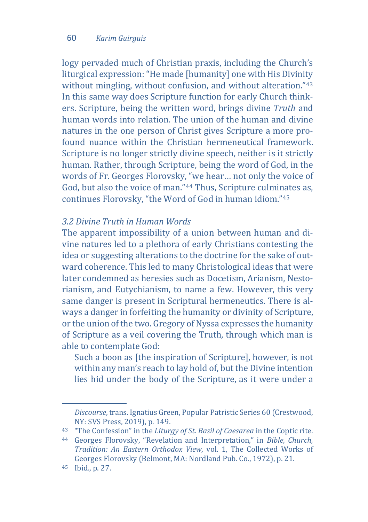logy pervaded much of Christian praxis, including the Church's liturgical expression: "He made [humanity] one with His Divinity without mingling, without confusion, and without alteration."<sup>[43](#page-14-0)</sup> In this same way does Scripture function for early Church thinkers. Scripture, being the written word, brings divine *Truth* and human words into relation. The union of the human and divine natures in the one person of Christ gives Scripture a more profound nuance within the Christian hermeneutical framework. Scripture is no longer strictly divine speech, neither is it strictly human. Rather, through Scripture, being the word of God, in the words of Fr. Georges Florovsky, "we hear… not only the voice of God, but also the voice of man."[44](#page-14-1) Thus, Scripture culminates as, continues Florovsky, "the Word of God in human idiom."[45](#page-14-2)

#### *3.2 Divine Truth in Human Words*

The apparent impossibility of a union between human and divine natures led to a plethora of early Christians contesting the idea or suggesting alterations to the doctrine for the sake of outward coherence. This led to many Christological ideas that were later condemned as heresies such as Docetism, Arianism, Nestorianism, and Eutychianism, to name a few. However, this very same danger is present in Scriptural hermeneutics. There is always a danger in forfeiting the humanity or divinity of Scripture, or the union of the two. Gregory of Nyssa expresses the humanity of Scripture as a veil covering the Truth, through which man is able to contemplate God:

Such a boon as [the inspiration of Scripture], however, is not within any man's reach to lay hold of, but the Divine intention lies hid under the body of the Scripture, as it were under a

j

*Discourse*, trans. Ignatius Green, Popular Patristic Series 60 (Crestwood, NY: SVS Press, 2019), p. 149.

<span id="page-14-0"></span><sup>43</sup> "The Confession" in the *Liturgy of St. Basil of Caesarea* in the Coptic rite.

<span id="page-14-1"></span><sup>44</sup> Georges Florovsky, "Revelation and Interpretation," in *Bible, Church, Tradition: An Eastern Orthodox View*, vol. 1, The Collected Works of Georges Florovsky (Belmont, MA: Nordland Pub. Co., 1972), p. 21.

<span id="page-14-2"></span><sup>45</sup> Ibid., p. 27.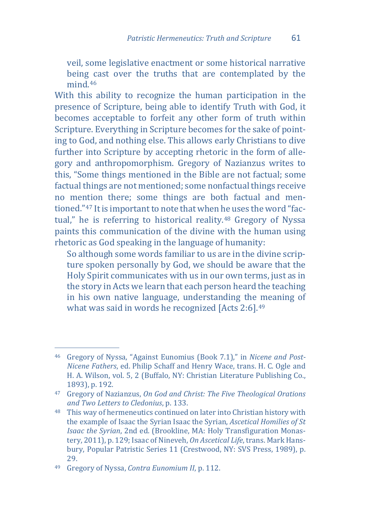veil, some legislative enactment or some historical narrative being cast over the truths that are contemplated by the mind.[46](#page-15-0)

With this ability to recognize the human participation in the presence of Scripture, being able to identify Truth with God, it becomes acceptable to forfeit any other form of truth within Scripture. Everything in Scripture becomes for the sake of pointing to God, and nothing else. This allows early Christians to dive further into Scripture by accepting rhetoric in the form of allegory and anthropomorphism. Gregory of Nazianzus writes to this, "Some things mentioned in the Bible are not factual; some factual things are not mentioned; some nonfactual things receive no mention there; some things are both factual and mentioned."[47](#page-15-1) It is important to note that when he uses the word "factual," he is referring to historical reality.[48](#page-15-2) Gregory of Nyssa paints this communication of the divine with the human using rhetoric as God speaking in the language of humanity:

So although some words familiar to us are in the divine scripture spoken personally by God, we should be aware that the Holy Spirit communicates with us in our own terms, just as in the story in Acts we learn that each person heard the teaching in his own native language, understanding the meaning of what was said in words he recognized [Acts 2:6].<sup>[49](#page-15-3)</sup>

<span id="page-15-0"></span>j <sup>46</sup> Gregory of Nyssa, "Against Eunomius (Book 7.1)," in *Nicene and Post-Nicene Fathers*, ed. Philip Schaff and Henry Wace, trans. H. C. Ogle and H. A. Wilson, vol. 5, 2 (Buffalo, NY: Christian Literature Publishing Co., 1893), p. 192.

<span id="page-15-1"></span><sup>47</sup> Gregory of Nazianzus, *On God and Christ: The Five Theological Orations and Two Letters to Cledonius*, p. 133.

<span id="page-15-2"></span><sup>48</sup> This way of hermeneutics continued on later into Christian history with the example of Isaac the Syrian Isaac the Syrian, *Ascetical Homilies of St Isaac the Syrian*, 2nd ed. (Brookline, MA: Holy Transfiguration Monastery, 2011), p. 129; Isaac of Nineveh, *On Ascetical Life*, trans. Mark Hansbury, Popular Patristic Series 11 (Crestwood, NY: SVS Press, 1989), p. 29.

<span id="page-15-3"></span><sup>49</sup> Gregory of Nyssa, *Contra Eunomium II*, p. 112.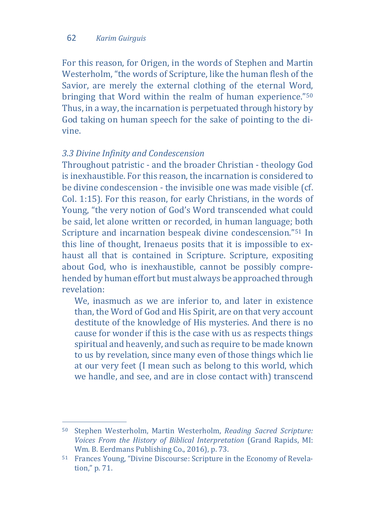For this reason, for Origen, in the words of Stephen and Martin Westerholm, "the words of Scripture, like the human flesh of the Savior, are merely the external clothing of the eternal Word, bringing that Word within the realm of human experience."[50](#page-16-0) Thus, in a way, the incarnation is perpetuated through history by God taking on human speech for the sake of pointing to the divine.

## *3.3 Divine Infinity and Condescension*

Throughout patristic - and the broader Christian - theology God is inexhaustible. For this reason, the incarnation is considered to be divine condescension - the invisible one was made visible (cf. Col. 1:15). For this reason, for early Christians, in the words of Young, "the very notion of God's Word transcended what could be said, let alone written or recorded, in human language; both Scripture and incarnation bespeak divine condescension."[51](#page-16-1) In this line of thought, Irenaeus posits that it is impossible to exhaust all that is contained in Scripture. Scripture, expositing about God, who is inexhaustible, cannot be possibly comprehended by human effort but must always be approached through revelation:

We, inasmuch as we are inferior to, and later in existence than, the Word of God and His Spirit, are on that very account destitute of the knowledge of His mysteries. And there is no cause for wonder if this is the case with us as respects things spiritual and heavenly, and such as require to be made known to us by revelation, since many even of those things which lie at our very feet (I mean such as belong to this world, which we handle, and see, and are in close contact with) transcend

<span id="page-16-0"></span>j <sup>50</sup> Stephen Westerholm, Martin Westerholm, *Reading Sacred Scripture: Voices From the History of Biblical Interpretation* (Grand Rapids, MI: Wm. B. Eerdmans Publishing Co., 2016), p. 73.

<span id="page-16-1"></span><sup>51</sup> Frances Young, "Divine Discourse: Scripture in the Economy of Revelation," p. 71.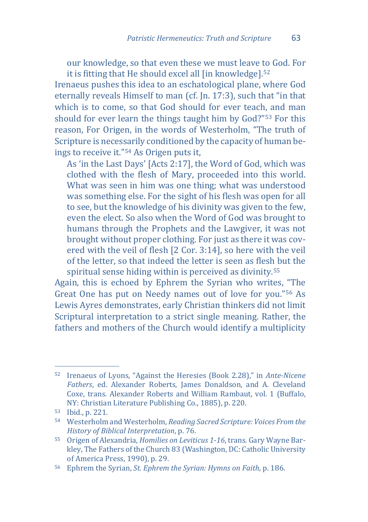our knowledge, so that even these we must leave to God. For it is fitting that He should excel all [in knowledge].[52](#page-17-0)

Irenaeus pushes this idea to an eschatological plane, where God eternally reveals Himself to man (cf. Jn. 17:3), such that "in that which is to come, so that God should for ever teach, and man should for ever learn the things taught him by God?"[53](#page-17-1) For this reason, For Origen, in the words of Westerholm, "The truth of Scripture is necessarily conditioned by the capacity of human beings to receive it."[54](#page-17-2) As Origen puts it,

As 'in the Last Days' [Acts 2:17], the Word of God, which was clothed with the flesh of Mary, proceeded into this world. What was seen in him was one thing; what was understood was something else. For the sight of his flesh was open for all to see, but the knowledge of his divinity was given to the few, even the elect. So also when the Word of God was brought to humans through the Prophets and the Lawgiver, it was not brought without proper clothing. For just as there it was covered with the veil of flesh [2 Cor. 3:14], so here with the veil of the letter, so that indeed the letter is seen as flesh but the spiritual sense hiding within is perceived as divinity.<sup>[55](#page-17-3)</sup>

Again, this is echoed by Ephrem the Syrian who writes, "The Great One has put on Needy names out of love for you."[56](#page-17-4) As Lewis Ayres demonstrates, early Christian thinkers did not limit Scriptural interpretation to a strict single meaning. Rather, the fathers and mothers of the Church would identify a multiplicity

<span id="page-17-0"></span>j <sup>52</sup> Irenaeus of Lyons, "Against the Heresies (Book 2.28)," in *Ante-Nicene Fathers*, ed. Alexander Roberts, James Donaldson, and A. Cleveland Coxe, trans. Alexander Roberts and William Rambaut, vol. 1 (Buffalo, NY: Christian Literature Publishing Co., 1885), p. 220.

<span id="page-17-1"></span><sup>53</sup> Ibid., p. 221.

<span id="page-17-2"></span><sup>54</sup> Westerholm and Westerholm, *Reading Sacred Scripture: Voices From the History of Biblical Interpretation*, p. 76.

<span id="page-17-3"></span><sup>55</sup> Origen of Alexandria, *Homilies on Leviticus 1-16*, trans. Gary Wayne Barkley, The Fathers of the Church 83 (Washington, DC: Catholic University of America Press, 1990), p. 29.

<span id="page-17-4"></span><sup>56</sup> Ephrem the Syrian, *St. Ephrem the Syrian: Hymns on Faith*, p. 186.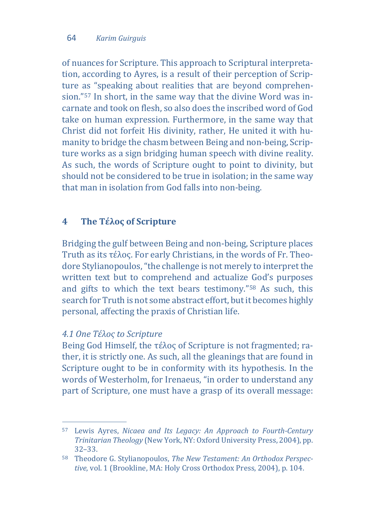of nuances for Scripture. This approach to Scriptural interpretation, according to Ayres, is a result of their perception of Scripture as "speaking about realities that are beyond comprehension.["57](#page-18-0) In short, in the same way that the divine Word was incarnate and took on flesh, so also does the inscribed word of God take on human expression. Furthermore, in the same way that Christ did not forfeit His divinity, rather, He united it with humanity to bridge the chasm between Being and non-being, Scripture works as a sign bridging human speech with divine reality. As such, the words of Scripture ought to point to divinity, but should not be considered to be true in isolation; in the same way that man in isolation from God falls into non-being.

## **4 The Τέλος of Scripture**

Bridging the gulf between Being and non-being, Scripture places Truth as its τέλος. For early Christians, in the words of Fr. Theodore Stylianopoulos, "the challenge is not merely to interpret the written text but to comprehend and actualize God's purposes and gifts to which the text bears testimony."[58](#page-18-1) As such, this search for Truth is not some abstract effort, but it becomes highly personal, affecting the praxis of Christian life.

#### *4.1 One Τέλος to Scripture*

Being God Himself, the τέλος of Scripture is not fragmented; rather, it is strictly one. As such, all the gleanings that are found in Scripture ought to be in conformity with its hypothesis. In the words of Westerholm, for Irenaeus, "in order to understand any part of Scripture, one must have a grasp of its overall message:

<span id="page-18-0"></span>j <sup>57</sup> Lewis Ayres, *Nicaea and Its Legacy: An Approach to Fourth-Century Trinitarian Theology* (New York, NY: Oxford University Press, 2004), pp. 32–33.

<span id="page-18-1"></span><sup>58</sup> Theodore G. Stylianopoulos, *The New Testament: An Orthodox Perspective*, vol. 1 (Brookline, MA: Holy Cross Orthodox Press, 2004), p. 104.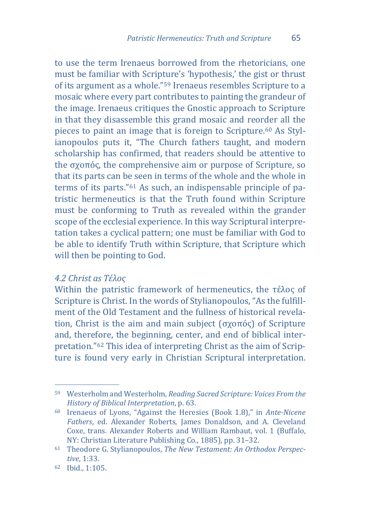to use the term Irenaeus borrowed from the rhetoricians, one must be familiar with Scripture's 'hypothesis,' the gist or thrust of its argument as a whole."[59](#page-19-0) Irenaeus resembles Scripture to a mosaic where every part contributes to painting the grandeur of the image. Irenaeus critiques the Gnostic approach to Scripture in that they disassemble this grand mosaic and reorder all the pieces to paint an image that is foreign to Scripture.[60](#page-19-1) As Stylianopoulos puts it, "The Church fathers taught, and modern scholarship has confirmed, that readers should be attentive to the σχοπός, the comprehensive aim or purpose of Scripture, so that its parts can be seen in terms of the whole and the whole in terms of its parts."[61](#page-19-2) As such, an indispensable principle of patristic hermeneutics is that the Truth found within Scripture must be conforming to Truth as revealed within the grander scope of the ecclesial experience. In this way Scriptural interpretation takes a cyclical pattern; one must be familiar with God to be able to identify Truth within Scripture, that Scripture which will then be pointing to God.

#### *4.2 Christ as Τέλος*

Within the patristic framework of hermeneutics, the τέλος of Scripture is Christ. In the words of Stylianopoulos, "As the fulfillment of the Old Testament and the fullness of historical revelation, Christ is the aim and main subject (σχοπός) of Scripture and, there[for](#page-19-3)e, the beginning, center, and end of biblical interpretation."62 This idea of interpreting Christ as the aim of Scripture is found very early in Christian Scriptural interpretation.

<span id="page-19-0"></span>j <sup>59</sup> Westerholm and Westerholm, *Reading Sacred Scripture: Voices From the History of Biblical Interpretation*, p. 63.

<span id="page-19-1"></span><sup>60</sup> Irenaeus of Lyons, "Against the Heresies (Book 1.8)," in *Ante-Nicene Fathers*, ed. Alexander Roberts, James Donaldson, and A. Cleveland Coxe, trans. Alexander Roberts and William Rambaut, vol. 1 (Buffalo, NY: Christian Literature Publishing Co., 1885), pp. 31–32.

<span id="page-19-2"></span><sup>61</sup> Theodore G. Stylianopoulos, *The New Testament: An Orthodox Perspective*, 1:33.

<span id="page-19-3"></span><sup>62</sup> Ibid., 1:105.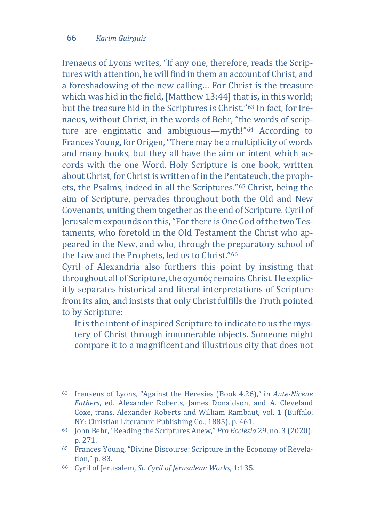Irenaeus of Lyons writes, "If any one, therefore, reads the Scriptures with attention, he will find in them an account of Christ, and a foreshadowing of the new calling… For Christ is the treasure which was hid in the field, [Matthew 13:44] that is, in this world; but the treasure hid in the Scriptures is Christ."[63](#page-20-0) In fact, for Irenaeus, without Christ, in the words of Behr, "th[e w](#page-20-1)ords of scripture are engimatic and ambiguous—myth!"64 According to Frances Young, for Origen, "There may be a multiplicity of words and many books, but they all have the aim or intent which accords with the one Word. Holy Scripture is one book, written about Christ, for Christ is written of in the Pentateuch, the prophets, the Psalms, indeed in all the Scriptures.["65](#page-20-2) Christ, being the aim of Scripture, pervades throughout both the Old and New Covenants, uniting them together as the end of Scripture. Cyril of Jerusalem expounds on this, "For there is One God of the two Testaments, who foretold in the Old Testament the Christ who appeared in the New, and who, through the preparatory school of the Law and the Prophets, led us to Christ."[66](#page-20-3)

Cyril of Alexandria also furthers this point by insisting that throughout all of Scripture, the σχοπός remains Christ. He explicitly separates historical and literal interpretations of Scripture from its aim, and insists that only Christ fulfills the Truth pointed to by Scripture:

It is the intent of inspired Scripture to indicate to us the mystery of Christ through innumerable objects. Someone might compare it to a magnificent and illustrious city that does not

<span id="page-20-0"></span>j <sup>63</sup> Irenaeus of Lyons, "Against the Heresies (Book 4.26)," in *Ante-Nicene Fathers*, ed. Alexander Roberts, James Donaldson, and A. Cleveland Coxe, trans. Alexander Roberts and William Rambaut, vol. 1 (Buffalo, NY: Christian Literature Publishing Co., 1885), p. 461.

<span id="page-20-1"></span><sup>64</sup> John Behr, "Reading the Scriptures Anew," *Pro Ecclesia* 29, no. 3 (2020): p. 271.

<span id="page-20-2"></span><sup>65</sup> Frances Young, "Divine Discourse: Scripture in the Economy of Revelation," p. 83.

<span id="page-20-3"></span><sup>66</sup> Cyril of Jerusalem, *St. Cyril of Jerusalem: Works*, 1:135.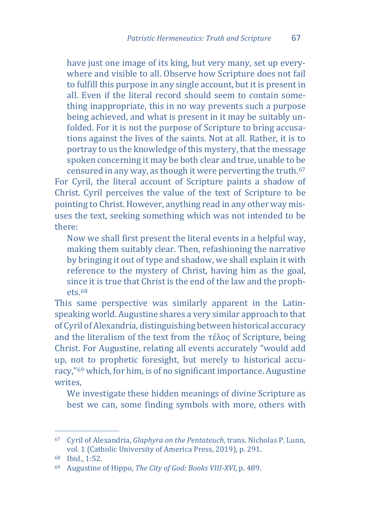have just one image of its king, but very many, set up everywhere and visible to all. Observe how Scripture does not fail to fulfill this purpose in any single account, but it is present in all. Even if the literal record should seem to contain something inappropriate, this in no way prevents such a purpose being achieved, and what is present in it may be suitably unfolded. For it is not the purpose of Scripture to bring accusations against the lives of the saints. Not at all. Rather, it is to portray to us the knowledge of this mystery, that the message spoken concerning it may be both clear and true, unable to be censured in any way, as though it were perverting the truth.[67](#page-21-0)

For Cyril, the literal account of Scripture paints a shadow of Christ. Cyril perceives the value of the text of Scripture to be pointing to Christ. However, anything read in any other way misuses the text, seeking something which was not intended to be there:

Now we shall first present the literal events in a helpful way, making them suitably clear. Then, refashioning the narrative by bringing it out of type and shadow, we shall explain it with reference to the mystery of Christ, having him as the goal, since it is true that Christ is the end of the law and the proph $p$ <sub>d</sub> $p$ <sub>c</sub> $68$ 

This same perspective was similarly apparent in the Latinspeaking world. Augustine shares a very similar approach to that of Cyril of Alexandria, distinguishing between historical accuracy and the literalism of the text from the τέλος of Scripture, being Christ. For Augustine, relating all events accurately "would add up, not to prophetic foresight, but merely to historical accuracy,"[69](#page-21-2) which, for him, is of no significant importance. Augustine writes,

We investigate these hidden meanings of divine Scripture as best we can, some finding symbols with more, others with

<span id="page-21-0"></span>j <sup>67</sup> Cyril of Alexandria, *Glaphyra on the Pentateuch*, trans. Nicholas P. Lunn, vol. 1 (Catholic University of America Press, 2019), p. 291.

<span id="page-21-1"></span><sup>68</sup> Ibid., 1:52.

<span id="page-21-2"></span><sup>69</sup> Augustine of Hippo, *The City of God: Books VIII-XVI*, p. 489.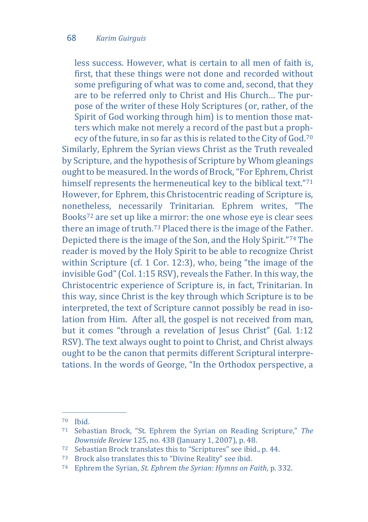less success. However, what is certain to all men of faith is, first, that these things were not done and recorded without some prefiguring of what was to come and, second, that they are to be referred only to Christ and His Church… The purpose of the writer of these Holy Scriptures (or, rather, of the Spirit of God working through him) is to mention those matters which make not merely a record of the past but a prophecy of the future, in so far as this is related to the City of God.[70](#page-22-0) Similarly, Ephrem the Syrian views Christ as the Truth revealed by Scripture, and the hypothesis of Scripture by Whom gleanings ought to be measured. In the words of Brock, "For Ephrem, Christ himself represents the hermeneutical key to the biblical text."[71](#page-22-1) However, for Ephrem, this Christocentric reading of Scripture is, nonetheless, necessarily Trinitarian. Ephrem writes, "The Books[72](#page-22-2) are set up like a mirror: the one whose eye is clear sees there an image of truth.[73](#page-22-3) Placed there is the image of the Father. Depicted there is the image of the Son, and the Holy Spirit."[74](#page-22-4) The reader is moved by the Holy Spirit to be able to recognize Christ within Scripture (cf. 1 Cor. 12:3), who, being "the image of the invisible God" (Col. 1:15 RSV), reveals the Father. In this way, the Christocentric experience of Scripture is, in fact, Trinitarian. In this way, since Christ is the key through which Scripture is to be interpreted, the text of Scripture cannot possibly be read in isolation from Him. After all, the gospel is not received from man, but it comes "through a revelation of Jesus Christ" (Gal. 1:12 RSV). The text always ought to point to Christ, and Christ always ought to be the canon that permits different Scriptural interpretations. In the words of George, "In the Orthodox perspective, a

j  $70$  Ibid.

<span id="page-22-1"></span><span id="page-22-0"></span><sup>71</sup> Sebastian Brock, "St. Ephrem the Syrian on Reading Scripture," *The Downside Review* 125, no. 438 (January 1, 2007), p. 48.

<span id="page-22-2"></span><sup>72</sup> Sebastian Brock translates this to "Scriptures" see ibid., p. 44.

<span id="page-22-3"></span><sup>73</sup> Brock also translates this to "Divine Reality" see ibid.

<span id="page-22-4"></span><sup>74</sup> Ephrem the Syrian, *St. Ephrem the Syrian: Hymns on Faith*, p. 332.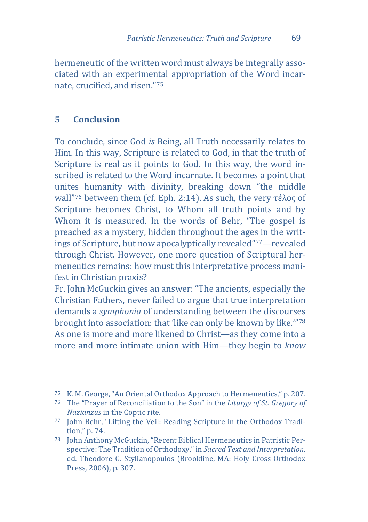hermeneutic of the written word must always be integrally associated with an experimental appropriation of the Word incarnate, crucified, and risen."[75](#page-23-0)

## **5 Conclusion**

To conclude, since God *is* Being, all Truth necessarily relates to Him. In this way, Scripture is related to God, in that the truth of Scripture is real as it points to God. In this way, the word inscribed is related to the Word incarnate. It becomes a point that unites humanity with divinity, breaking down "the middle wall"[76](#page-23-1) between them (cf. Eph. 2:14). As such, the very τέλος of Scripture becomes Christ, to Whom all truth points and by Whom it is measured. In the words of Behr, "The gospel is preached as a mystery, hidden throughout the ages in the writings of Scripture, but now apocalyptically revealed"[77](#page-23-2)—revealed through Christ. However, one more question of Scriptural hermeneutics remains: how must this interpretative process manifest in Christian praxis?

Fr. John McGuckin gives an answer: "The ancients, especially the Christian Fathers, never failed to argue that true interpretation demands a *symphonia* of understanding between the discourses brought into association: that 'like can only be known by like.'"[78](#page-23-3) As one is more and more likened to Christ—as they come into a more and more intimate union with Him—they begin to *know*

j <sup>75</sup> K. M. George, "An Oriental Orthodox Approach to Hermeneutics," p. 207.

<span id="page-23-1"></span><span id="page-23-0"></span><sup>76</sup> The "Prayer of Reconciliation to the Son" in the *Liturgy of St. Gregory of Nazianzus* in the Coptic rite.

<span id="page-23-2"></span><sup>77</sup> John Behr, "Lifting the Veil: Reading Scripture in the Orthodox Tradition," p. 74.

<span id="page-23-3"></span><sup>78</sup> John Anthony McGuckin, "Recent Biblical Hermeneutics in Patristic Perspective: The Tradition of Orthodoxy," in *Sacred Text and Interpretation*, ed. Theodore G. Stylianopoulos (Brookline, MA: Holy Cross Orthodox Press, 2006), p. 307.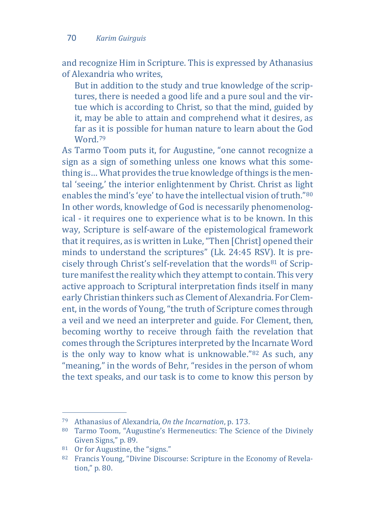and recognize Him in Scripture. This is expressed by Athanasius of Alexandria who writes,

But in addition to the study and true knowledge of the scriptures, there is needed a good life and a pure soul and the virtue which is according to Christ, so that the mind, guided by it, may be able to attain and comprehend what it desires, as far as it is possible for human nature to learn about the God Word.[79](#page-24-0)

As Tarmo Toom puts it, for Augustine, "one cannot recognize a sign as a sign of something unless one knows what this something is… What provides the true knowledge of things is the mental 'seeing,' the interior enlightenment by Christ. Christ as light enables the mind's 'eye' to have the intellectual vision of truth."[80](#page-24-1) In other words, knowledge of God is necessarily phenomenological - it requires one to experience what is to be known. In this way, Scripture is self-aware of the epistemological framework that it requires, as is written in Luke, "Then [Christ] opened their minds to understand the scriptures" (Lk. 24:45 RSV[\).](#page-24-2) It is precisely through Christ's self-revelation that the words<sup>81</sup> of Scripture manifest the reality which they attempt to contain. This very active approach to Scriptural interpretation finds itself in many early Christian thinkers such as Clement of Alexandria. For Clement, in the words of Young, "the truth of Scripture comes through a veil and we need an interpreter and guide. For Clement, then, becoming worthy to receive through faith the revelation that comes through the Scriptures interpreted by the [In](#page-24-3)carnate Word is the only way to know what is unknowable."82 As such, any "meaning," in the words of Behr, "resides in the person of whom the text speaks, and our task is to come to know this person by

j <sup>79</sup> Athanasius of Alexandria, *On the Incarnation*, p. 173.

<span id="page-24-1"></span><span id="page-24-0"></span><sup>80</sup> Tarmo Toom, "Augustine's Hermeneutics: The Science of the Divinely Given Signs," p. 89.

<span id="page-24-2"></span><sup>81</sup> Or for Augustine, the "signs."

<span id="page-24-3"></span><sup>82</sup> Francis Young, "Divine Discourse: Scripture in the Economy of Revelation," p. 80.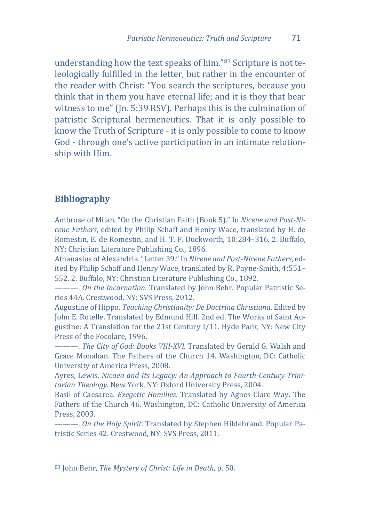understanding how the text speaks of him."[83](#page-25-0) Scripture is not teleologically fulfilled in the letter, but rather in the encounter of the reader with Christ: "You search the scriptures, because you think that in them you have eternal life; and it is they that bear witness to me" (In. 5:39 RSV). Perhaps this is the culmination of patristic Scriptural hermeneutics. That it is only possible to know the Truth of Scripture - it is only possible to come to know God - through one's active participation in an intimate relationship with Him.

#### **Bibliography**

Ambrose of Milan. "On the Christian Faith (Book 5)." In *Nicene and Post-Nicene Fathers*, edited by Philip Schaff and Henry Wace, translated by H. de Romestin, E. de Romestin, and H. T. F. Duckworth, 10:284–316. 2. Buffalo, NY: Christian Literature Publishing Co., 1896.

Athanasius of Alexandria. "Letter 39." In *Nicene and Post-Nicene Fathers*, edited by Philip Schaff and Henry Wace, translated by R. Payne-Smith, 4:551– 552. 2. Buffalo, NY: Christian Literature Publishing Co., 1892.

———. *On the Incarnation*. Translated by John Behr. Popular Patristic Series 44A. Crestwood, NY: SVS Press, 2012.

Augustine of Hippo. *Teaching Christianity: De Doctrina Christiana*. Edited by John E. Rotelle. Translated by Edmund Hill. 2nd ed. The Works of Saint Augustine: A Translation for the 21st Century I/11. Hyde Park, NY: New City Press of the Focolare, 1996.

———. *The City of God: Books VIII-XVI*. Translated by Gerald G. Walsh and Grace Monahan. The Fathers of the Church 14. Washington, DC: Catholic University of America Press, 2008.

Ayres, Lewis. *Nicaea and Its Legacy: An Approach to Fourth-Century Trinitarian Theology*. New York, NY: Oxford University Press, 2004.

Basil of Caesarea. *Exegetic Homilies*. Translated by Agnes Clare Way. The Fathers of the Church 46. Washington, DC: Catholic University of America Press, 2003.

———. *On the Holy Spirit*. Translated by Stephen Hildebrand. Popular Patristic Series 42. Crestwood, NY: SVS Press, 2011.

<span id="page-25-0"></span>j <sup>83</sup> John Behr, *The Mystery of Christ: Life in Death*, p. 50.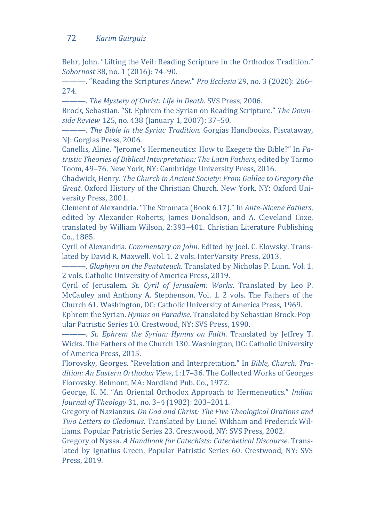#### 72 *Karim Guirguis*

Behr, John. "Lifting the Veil: Reading Scripture in the Orthodox Tradition." *Sobornost* 38, no. 1 (2016): 74–90.

———. "Reading the Scriptures Anew." *Pro Ecclesia* 29, no. 3 (2020): 266– 274.

———. *The Mystery of Christ: Life in Death*. SVS Press, 2006.

Brock, Sebastian. "St. Ephrem the Syrian on Reading Scripture." *The Downside Review* 125, no. 438 (January 1, 2007): 37–50.

———. *The Bible in the Syriac Tradition*. Gorgias Handbooks. Piscataway, NJ: Gorgias Press, 2006.

Canellis, Aline. "Jerome's Hermeneutics: How to Exegete the Bible?" In *Patristic Theories of Biblical Interpretation: The Latin Fathers*, edited by Tarmo Toom, 49–76. New York, NY: Cambridge University Press, 2016.

Chadwick, Henry. *The Church in Ancient Society: From Galilee to Gregory the Great*. Oxford History of the Christian Church. New York, NY: Oxford University Press, 2001.

Clement of Alexandria. "The Stromata (Book 6.17)." In *Ante-Nicene Fathers*, edited by Alexander Roberts, James Donaldson, and A. Cleveland Coxe, translated by William Wilson, 2:393–401. Christian Literature Publishing Co., 1885.

Cyril of Alexandria. *Commentary on John*. Edited by Joel. C. Elowsky. Translated by David R. Maxwell. Vol. 1. 2 vols. InterVarsity Press, 2013.

———. *Glaphyra on the Pentateuch*. Translated by Nicholas P. Lunn. Vol. 1. 2 vols. Catholic University of America Press, 2019.

Cyril of Jerusalem. *St. Cyril of Jerusalem: Works*. Translated by Leo P. McCauley and Anthony A. Stephenson. Vol. 1. 2 vols. The Fathers of the Church 61. Washington, DC: Catholic University of America Press, 1969.

Ephrem the Syrian. *Hymns on Paradise*. Translated by Sebastian Brock. Popular Patristic Series 10. Crestwood, NY: SVS Press, 1990.

———. *St. Ephrem the Syrian: Hymns on Faith*. Translated by Jeffrey T. Wicks. The Fathers of the Church 130. Washington, DC: Catholic University of America Press, 2015.

Florovsky, Georges. "Revelation and Interpretation." In *Bible, Church, Tradition: An Eastern Orthodox View*, 1:17–36. The Collected Works of Georges Florovsky. Belmont, MA: Nordland Pub. Co., 1972.

George, K. M. "An Oriental Orthodox Approach to Hermeneutics." *Indian Journal of Theology* 31, no. 3–4 (1982): 203–2011.

Gregory of Nazianzus. *On God and Christ: The Five Theological Orations and Two Letters to Cledonius*. Translated by Lionel Wikham and Frederick Williams. Popular Patristic Series 23. Crestwood, NY: SVS Press, 2002.

Gregory of Nyssa. *A Handbook for Catechists: Catechetical Discourse*. Translated by Ignatius Green. Popular Patristic Series 60. Crestwood, NY: SVS Press, 2019.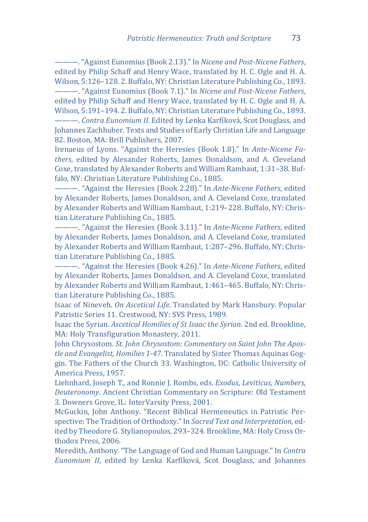———. "Against Eunomius (Book 2.13)." In *Nicene and Post-Nicene Fathers*, edited by Philip Schaff and Henry Wace, translated by H. C. Ogle and H. A. Wilson, 5:126–128. 2. Buffalo, NY: Christian Literature Publishing Co., 1893. ———. "Against Eunomius (Book 7.1)." In *Nicene and Post-Nicene Fathers*, edited by Philip Schaff and Henry Wace, translated by H. C. Ogle and H. A. Wilson, 5:191–194. 2. Buffalo, NY: Christian Literature Publishing Co., 1893.

———. *Contra Eunomium II*. Edited by Lenka Karfíková, Scot Douglass, and Johannes Zachhuber. Texts and Studies of Early Christian Life and Language 82. Boston, MA: Brill Publishers, 2007.

Irenaeus of Lyons. "Against the Heresies (Book 1.8)." In *Ante-Nicene Fathers*, edited by Alexander Roberts, James Donaldson, and A. Cleveland Coxe, translated by Alexander Roberts and William Rambaut, 1:31–38. Buffalo, NY: Christian Literature Publishing Co., 1885.

———. "Against the Heresies (Book 2.28)." In *Ante-Nicene Fathers*, edited by Alexander Roberts, James Donaldson, and A. Cleveland Coxe, translated by Alexander Roberts and William Rambaut, 1:219–228. Buffalo, NY: Christian Literature Publishing Co., 1885.

———. "Against the Heresies (Book 3.11)." In *Ante-Nicene Fathers*, edited by Alexander Roberts, James Donaldson, and A. Cleveland Coxe, translated by Alexander Roberts and William Rambaut, 1:287–296. Buffalo, NY: Christian Literature Publishing Co., 1885.

———. "Against the Heresies (Book 4.26)." In *Ante-Nicene Fathers*, edited by Alexander Roberts, James Donaldson, and A. Cleveland Coxe, translated by Alexander Roberts and William Rambaut, 1:461–465. Buffalo, NY: Christian Literature Publishing Co., 1885.

Isaac of Nineveh. *On Ascetical Life*. Translated by Mark Hansbury. Popular Patristic Series 11. Crestwood, NY: SVS Press, 1989.

Isaac the Syrian. *Ascetical Homilies of St Isaac the Syrian*. 2nd ed. Brookline, MA: Holy Transfiguration Monastery, 2011.

John Chrysostom. *St. John Chrysostom: Commentary on Saint John The Apostle and Evangelist, Homilies 1-47*. Translated by Sister Thomas Aquinas Goggin. The Fathers of the Church 33. Washington, DC: Catholic University of America Press, 1957.

Liehnhard, Joseph T., and Ronnie J. Rombs, eds. *Exodus, Leviticus, Numbers, Deuteronomy*. Ancient Christian Commentary on Scripture: Old Testament 3. Downers Grove, IL: InterVarsity Press, 2001.

McGuckin, John Anthony. "Recent Biblical Hermeneutics in Patristic Perspective: The Tradition of Orthodoxy." In *Sacred Text and Interpretation*, edited by Theodore G. Stylianopoulos, 293–324. Brookline, MA: Holy Cross Orthodox Press, 2006.

Meredith, Anthony. "The Language of God and Human Language." In *Contra Eunomium II*, edited by Lenka Karfíková, Scot Douglass, and Johannes